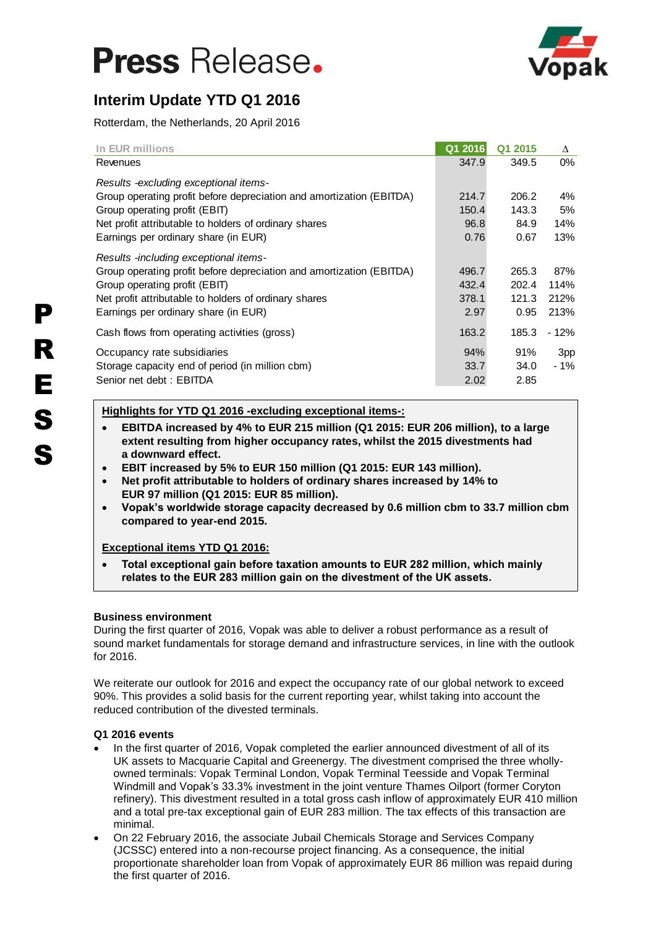# **Press Release.**



# **Interim Update YTD Q1 2016**

Rotterdam, the Netherlands, 20 April 2016

| In EUR millions                                                      | Q1 2016 | Q1 2015 | Δ      |
|----------------------------------------------------------------------|---------|---------|--------|
| Revenues                                                             | 347.9   | 349.5   | $0\%$  |
| Results -excluding exceptional items-                                |         |         |        |
| Group operating profit before depreciation and amortization (EBITDA) | 214.7   | 206.2   | $4\%$  |
| Group operating profit (EBIT)                                        | 150.4   | 143.3   | 5%     |
| Net profit attributable to holders of ordinary shares                | 96.8    | 84.9    | 14%    |
| Earnings per ordinary share (in EUR)                                 | 0.76    | 0.67    | 13%    |
| Results -including exceptional items-                                |         |         |        |
| Group operating profit before depreciation and amortization (EBITDA) | 496.7   | 265.3   | 87%    |
| Group operating profit (EBIT)                                        | 432.4   | 202.4   | 114%   |
| Net profit attributable to holders of ordinary shares                | 378.1   | 121.3   | 212%   |
| Earnings per ordinary share (in EUR)                                 | 2.97    | 0.95    | 213%   |
| Cash flows from operating activities (gross)                         | 163.2   | 185.3   | - 12%  |
| Occupancy rate subsidiaries                                          | 94%     | 91%     | 3pp    |
| Storage capacity end of period (in million cbm)                      | 33.7    | 34.0    | $-1\%$ |
| Senior net debt: EBITDA                                              | 2.02    | 2.85    |        |

# **Highlights for YTD Q1 2016 -excluding exceptional items-:**

- **EBITDA increased by 4% to EUR 215 million (Q1 2015: EUR 206 million), to a large extent resulting from higher occupancy rates, whilst the 2015 divestments had a downward effect.**
- **EBIT increased by 5% to EUR 150 million (Q1 2015: EUR 143 million).**
- **Net profit attributable to holders of ordinary shares increased by 14% to EUR 97 million (Q1 2015: EUR 85 million).**
- **Vopak's worldwide storage capacity decreased by 0.6 million cbm to 33.7 million cbm compared to year-end 2015.**

## **Exceptional items YTD Q1 2016:**

 **Total exceptional gain before taxation amounts to EUR 282 million, which mainly relates to the EUR 283 million gain on the divestment of the UK assets.**

## **Business environment**

During the first quarter of 2016, Vopak was able to deliver a robust performance as a result of sound market fundamentals for storage demand and infrastructure services, in line with the outlook for 2016.

We reiterate our outlook for 2016 and expect the occupancy rate of our global network to exceed 90%. This provides a solid basis for the current reporting year, whilst taking into account the reduced contribution of the divested terminals.

## **Q1 2016 events**

- In the first quarter of 2016, Vopak completed the earlier announced divestment of all of its UK assets to Macquarie Capital and Greenergy. The divestment comprised the three whollyowned terminals: Vopak Terminal London, Vopak Terminal Teesside and Vopak Terminal Windmill and Vopak's 33.3% investment in the joint venture Thames Oilport (former Coryton refinery). This divestment resulted in a total gross cash inflow of approximately EUR 410 million and a total pre-tax exceptional gain of EUR 283 million. The tax effects of this transaction are minimal.
- On 22 February 2016, the associate Jubail Chemicals Storage and Services Company (JCSSC) entered into a non-recourse project financing. As a consequence, the initial proportionate shareholder loan from Vopak of approximately EUR 86 million was repaid during the first quarter of 2016.